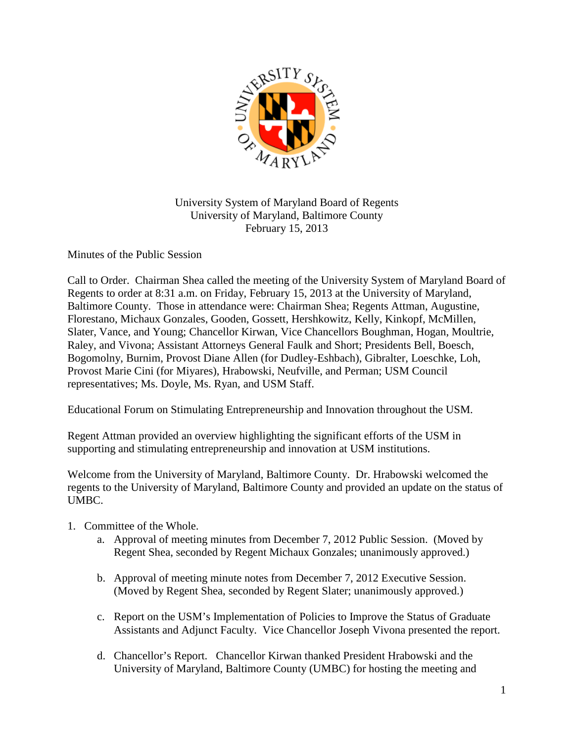

University System of Maryland Board of Regents University of Maryland, Baltimore County February 15, 2013

Minutes of the Public Session

Call to Order. Chairman Shea called the meeting of the University System of Maryland Board of Regents to order at 8:31 a.m. on Friday, February 15, 2013 at the University of Maryland, Baltimore County. Those in attendance were: Chairman Shea; Regents Attman, Augustine, Florestano, Michaux Gonzales, Gooden, Gossett, Hershkowitz, Kelly, Kinkopf, McMillen, Slater, Vance, and Young; Chancellor Kirwan, Vice Chancellors Boughman, Hogan, Moultrie, Raley, and Vivona; Assistant Attorneys General Faulk and Short; Presidents Bell, Boesch, Bogomolny, Burnim, Provost Diane Allen (for Dudley-Eshbach), Gibralter, Loeschke, Loh, Provost Marie Cini (for Miyares), Hrabowski, Neufville, and Perman; USM Council representatives; Ms. Doyle, Ms. Ryan, and USM Staff.

Educational Forum on Stimulating Entrepreneurship and Innovation throughout the USM.

Regent Attman provided an overview highlighting the significant efforts of the USM in supporting and stimulating entrepreneurship and innovation at USM institutions.

Welcome from the University of Maryland, Baltimore County. Dr. Hrabowski welcomed the regents to the University of Maryland, Baltimore County and provided an update on the status of UMBC.

- 1. Committee of the Whole.
	- a. Approval of meeting minutes from December 7, 2012 Public Session. (Moved by Regent Shea, seconded by Regent Michaux Gonzales; unanimously approved.)
	- b. Approval of meeting minute notes from December 7, 2012 Executive Session. (Moved by Regent Shea, seconded by Regent Slater; unanimously approved.)
	- c. Report on the USM's Implementation of Policies to Improve the Status of Graduate Assistants and Adjunct Faculty. Vice Chancellor Joseph Vivona presented the report.
	- d. Chancellor's Report. Chancellor Kirwan thanked President Hrabowski and the University of Maryland, Baltimore County (UMBC) for hosting the meeting and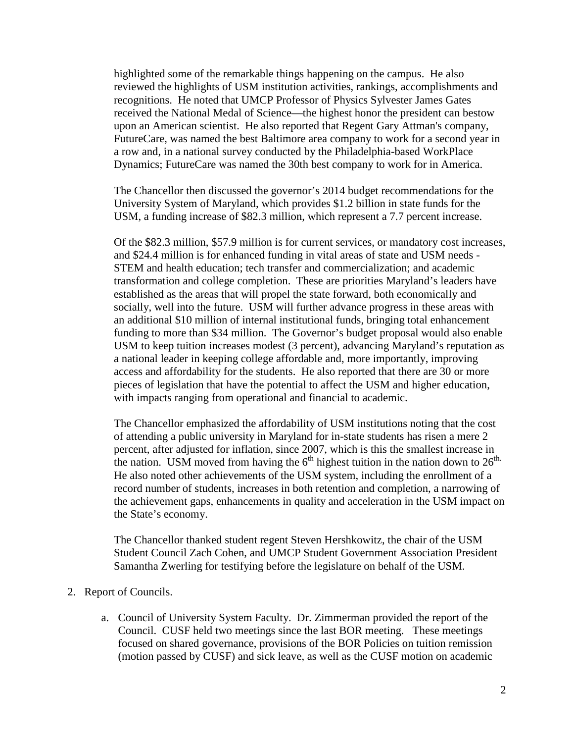highlighted some of the remarkable things happening on the campus. He also reviewed the highlights of USM institution activities, rankings, accomplishments and recognitions. He noted that UMCP Professor of Physics Sylvester James Gates received the National Medal of Science—the highest honor the president can bestow upon an American scientist. He also reported that Regent Gary Attman's company, FutureCare, was named the best Baltimore area company to work for a second year in a row and, in a national survey conducted by the Philadelphia-based WorkPlace Dynamics; FutureCare was named the 30th best company to work for in America.

The Chancellor then discussed the governor's 2014 budget recommendations for the University System of Maryland, which provides \$1.2 billion in state funds for the USM, a funding increase of \$82.3 million, which represent a 7.7 percent increase.

Of the \$82.3 million, \$57.9 million is for current services, or mandatory cost increases, and \$24.4 million is for enhanced funding in vital areas of state and USM needs - STEM and health education; tech transfer and commercialization; and academic transformation and college completion. These are priorities Maryland's leaders have established as the areas that will propel the state forward, both economically and socially, well into the future. USM will further advance progress in these areas with an additional \$10 million of internal institutional funds, bringing total enhancement funding to more than \$34 million. The Governor's budget proposal would also enable USM to keep tuition increases modest (3 percent), advancing Maryland's reputation as a national leader in keeping college affordable and, more importantly, improving access and affordability for the students. He also reported that there are 30 or more pieces of legislation that have the potential to affect the USM and higher education, with impacts ranging from operational and financial to academic.

The Chancellor emphasized the affordability of USM institutions noting that the cost of attending a public university in Maryland for in-state students has risen a mere 2 percent, after adjusted for inflation, since 2007, which is this the smallest increase in the nation. USM moved from having the  $6<sup>th</sup>$  highest tuition in the nation down to  $26<sup>th</sup>$ . He also noted other achievements of the USM system, including the enrollment of a record number of students, increases in both retention and completion, a narrowing of the achievement gaps, enhancements in quality and acceleration in the USM impact on the State's economy.

The Chancellor thanked student regent Steven Hershkowitz, the chair of the USM Student Council Zach Cohen, and UMCP Student Government Association President Samantha Zwerling for testifying before the legislature on behalf of the USM.

- 2. Report of Councils.
	- a. Council of University System Faculty. Dr. Zimmerman provided the report of the Council. CUSF held two meetings since the last BOR meeting. These meetings focused on shared governance, provisions of the BOR Policies on tuition remission (motion passed by CUSF) and sick leave, as well as the CUSF motion on academic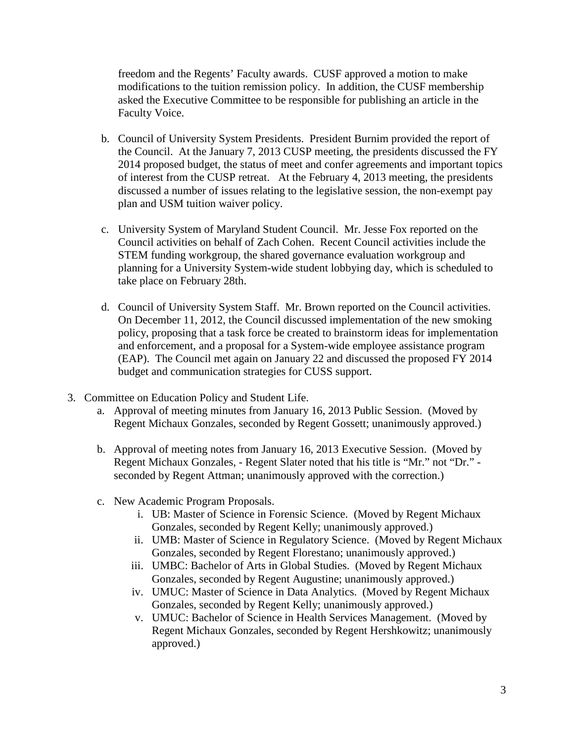freedom and the Regents' Faculty awards. CUSF approved a motion to make modifications to the tuition remission policy. In addition, the CUSF membership asked the Executive Committee to be responsible for publishing an article in the Faculty Voice.

- b. Council of University System Presidents. President Burnim provided the report of the Council. At the January 7, 2013 CUSP meeting, the presidents discussed the FY 2014 proposed budget, the status of meet and confer agreements and important topics of interest from the CUSP retreat. At the February 4, 2013 meeting, the presidents discussed a number of issues relating to the legislative session, the non-exempt pay plan and USM tuition waiver policy.
- c. University System of Maryland Student Council. Mr. Jesse Fox reported on the Council activities on behalf of Zach Cohen. Recent Council activities include the STEM funding workgroup, the shared governance evaluation workgroup and planning for a University System-wide student lobbying day, which is scheduled to take place on February 28th.
- d. Council of University System Staff. Mr. Brown reported on the Council activities. On December 11, 2012, the Council discussed implementation of the new smoking policy, proposing that a task force be created to brainstorm ideas for implementation and enforcement, and a proposal for a System-wide employee assistance program (EAP). The Council met again on January 22 and discussed the proposed FY 2014 budget and communication strategies for CUSS support.
- 3. Committee on Education Policy and Student Life.
	- a. Approval of meeting minutes from January 16, 2013 Public Session. (Moved by Regent Michaux Gonzales, seconded by Regent Gossett; unanimously approved.)
	- b. Approval of meeting notes from January 16, 2013 Executive Session. (Moved by Regent Michaux Gonzales, - Regent Slater noted that his title is "Mr." not "Dr." seconded by Regent Attman; unanimously approved with the correction.)
	- c. New Academic Program Proposals.
		- i. UB: Master of Science in Forensic Science. (Moved by Regent Michaux Gonzales, seconded by Regent Kelly; unanimously approved.)
		- ii. UMB: Master of Science in Regulatory Science. (Moved by Regent Michaux Gonzales, seconded by Regent Florestano; unanimously approved.)
		- iii. UMBC: Bachelor of Arts in Global Studies. (Moved by Regent Michaux Gonzales, seconded by Regent Augustine; unanimously approved.)
		- iv. UMUC: Master of Science in Data Analytics. (Moved by Regent Michaux Gonzales, seconded by Regent Kelly; unanimously approved.)
		- v. UMUC: Bachelor of Science in Health Services Management. (Moved by Regent Michaux Gonzales, seconded by Regent Hershkowitz; unanimously approved.)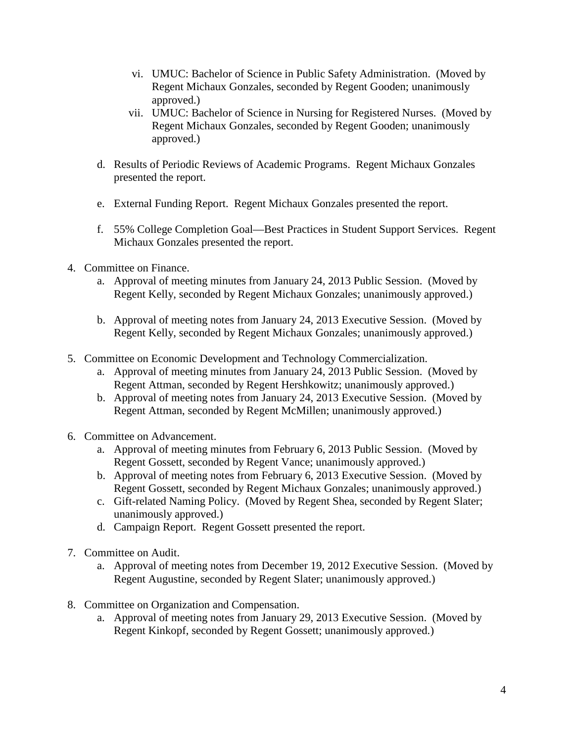- vi. UMUC: Bachelor of Science in Public Safety Administration. (Moved by Regent Michaux Gonzales, seconded by Regent Gooden; unanimously approved.)
- vii. UMUC: Bachelor of Science in Nursing for Registered Nurses. (Moved by Regent Michaux Gonzales, seconded by Regent Gooden; unanimously approved.)
- d. Results of Periodic Reviews of Academic Programs. Regent Michaux Gonzales presented the report.
- e. External Funding Report. Regent Michaux Gonzales presented the report.
- f. 55% College Completion Goal—Best Practices in Student Support Services. Regent Michaux Gonzales presented the report.
- 4. Committee on Finance.
	- a. Approval of meeting minutes from January 24, 2013 Public Session. (Moved by Regent Kelly, seconded by Regent Michaux Gonzales; unanimously approved.)
	- b. Approval of meeting notes from January 24, 2013 Executive Session. (Moved by Regent Kelly, seconded by Regent Michaux Gonzales; unanimously approved.)
- 5. Committee on Economic Development and Technology Commercialization.
	- a. Approval of meeting minutes from January 24, 2013 Public Session. (Moved by Regent Attman, seconded by Regent Hershkowitz; unanimously approved.)
	- b. Approval of meeting notes from January 24, 2013 Executive Session. (Moved by Regent Attman, seconded by Regent McMillen; unanimously approved.)
- 6. Committee on Advancement.
	- a. Approval of meeting minutes from February 6, 2013 Public Session. (Moved by Regent Gossett, seconded by Regent Vance; unanimously approved.)
	- b. Approval of meeting notes from February 6, 2013 Executive Session. (Moved by Regent Gossett, seconded by Regent Michaux Gonzales; unanimously approved.)
	- c. Gift-related Naming Policy. (Moved by Regent Shea, seconded by Regent Slater; unanimously approved.)
	- d. Campaign Report. Regent Gossett presented the report.
- 7. Committee on Audit.
	- a. Approval of meeting notes from December 19, 2012 Executive Session. (Moved by Regent Augustine, seconded by Regent Slater; unanimously approved.)
- 8. Committee on Organization and Compensation.
	- a. Approval of meeting notes from January 29, 2013 Executive Session. (Moved by Regent Kinkopf, seconded by Regent Gossett; unanimously approved.)